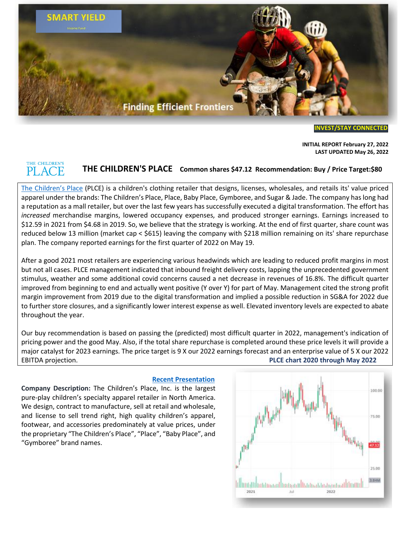

**[INVEST/STAY](https://www.broxtoncapital.com/contact) CONNECTED**

**INITIAL REPORT February 27, 2022 LAST UPDATED May 26, 2022**

### THE CHILDREN'S PLACE

## **THE CHILDREN'S PLACE Common shares \$47.12 Recommendation: Buy / Price Target:\$80**

[The Children's Place](https://corporate.childrensplace.com/) (PLCE) is a children's clothing retailer that designs, licenses, wholesales, and retails its' value priced apparel under the brands: The Children's Place, Place, Baby Place, Gymboree, and Sugar & Jade. The company has long had a reputation as a mall retailer, but over the last few years has successfully executed a digital transformation. The effort has *increased* merchandise margins, lowered occupancy expenses, and produced stronger earnings. Earnings increased to \$12.59 in 2021 from \$4.68 in 2019. So, we believe that the strategy is working. At the end of first quarter, share count was reduced below 13 million (market cap < \$615) leaving the company with \$218 million remaining on its' share repurchase plan. The company reported earnings for the first quarter of 2022 on May 19.

After a good 2021 most retailers are experiencing various headwinds which are leading to reduced profit margins in most but not all cases. PLCE management indicated that inbound freight delivery costs, lapping the unprecedented government stimulus, weather and some additional covid concerns caused a net decrease in revenues of 16.8%. The difficult quarter improved from beginning to end and actually went positive (Y over Y) for part of May. Management cited the strong profit margin improvement from 2019 due to the digital transformation and implied a possible reduction in SG&A for 2022 due to further store closures, and a significantly lower interest expense as well. Elevated inventory levels are expected to abate throughout the year.

Our buy recommendation is based on passing the (predicted) most difficult quarter in 2022, management's indication of pricing power and the good May. Also, if the total share repurchase is completed around these price levels it will provide a major catalyst for 2023 earnings. The price target is 9 X our 2022 earnings forecast and an enterprise value of 5 X our 2022 EBITDA projection. **PLCE chart 2020 through May 2022**

**Company Description:** The Children's Place, Inc. is the largest pure-play children's specialty apparel retailer in North America. We design, contract to manufacture, sell at retail and wholesale, and license to sell trend right, high quality children's apparel, footwear, and accessories predominately at value prices, under the proprietary "The Children's Place", "Place", "Baby Place", and "Gymboree" brand names.

#### **[Recent Presentation](https://investor.childrensplace.com/static-files/0823eb5f-a181-4702-9f8a-66bf24ac4079)**

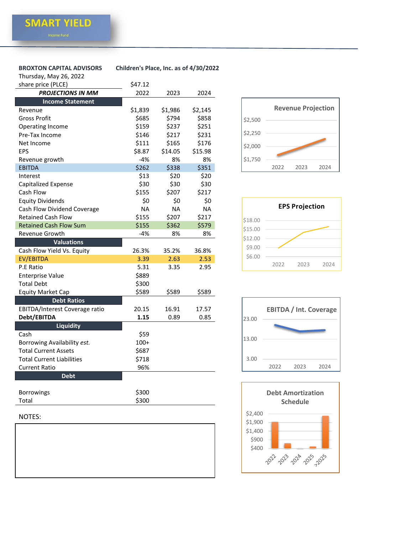# Thursday, May 26, 2022

**BROXTON CAPITAL ADVISORS Children's Place, Inc. as of 4/30/2022**

| i ilui suay, iviay zu, zuzz<br>share price (PLCE) | \$47.12   |           |           |
|---------------------------------------------------|-----------|-----------|-----------|
|                                                   |           |           |           |
| <b>PROJECTIONS IN MM</b>                          | 2022      | 2023      | 2024      |
| <b>Income Statement</b>                           |           |           |           |
| Revenue                                           | \$1,839   | \$1,986   | \$2,145   |
| Gross Profit                                      | \$685     | \$794     | \$858     |
| Operating Income                                  | \$159     | \$237     | \$251     |
| Pre-Tax Income                                    | \$146     | \$217     | \$231     |
| Net Income                                        | \$111     | \$165     | \$176     |
| <b>EPS</b>                                        | \$8.87    | \$14.05   | \$15.98   |
| Revenue growth                                    | $-4%$     | 8%        | 8%        |
| <b>EBITDA</b>                                     | \$262     | \$338     | \$351     |
| Interest                                          | \$13      | \$20      | \$20      |
| <b>Capitalized Expense</b>                        | \$30      | \$30      | \$30      |
| Cash Flow                                         | \$155     | \$207     | \$217     |
| <b>Equity Dividends</b>                           | \$0       | \$0       | \$0       |
| Cash Flow Dividend Coverage                       | <b>NA</b> | <b>NA</b> | <b>NA</b> |
| <b>Retained Cash Flow</b>                         | \$155     | \$207     | \$217     |
| <b>Retained Cash Flow Sum</b>                     | \$155     | \$362     | \$579     |
| Revenue Growth                                    | $-4%$     | 8%        | 8%        |
| <b>Valuations</b>                                 |           |           |           |
| Cash Flow Yield Vs. Equity                        | 26.3%     | 35.2%     | 36.8%     |
| <b>EV/EBITDA</b>                                  | 3.39      | 2.63      | 2.53      |
| P.E Ratio                                         | 5.31      | 3.35      | 2.95      |
| <b>Enterprise Value</b>                           | \$889     |           |           |
| <b>Total Debt</b>                                 | \$300     |           |           |
| <b>Equity Market Cap</b>                          | \$589     | \$589     | \$589     |
| <b>Debt Ratios</b>                                |           |           |           |
| EBITDA/Interest Coverage ratio                    | 20.15     | 16.91     | 17.57     |
| Debt/EBITDA                                       | 1.15      | 0.89      | 0.85      |
| <b>Liquidity</b>                                  |           |           |           |
| Cash                                              | \$59      |           |           |
| Borrowing Availability est.                       | $100+$    |           |           |
| <b>Total Current Assets</b>                       | \$687     |           |           |
| <b>Total Current Liabilities</b>                  | \$718     |           |           |
| <b>Current Ratio</b>                              | 96%       |           |           |
| <b>Debt</b>                                       |           |           |           |
|                                                   |           |           |           |

| <b>Borrowings</b> | \$300 |
|-------------------|-------|
| Total             | \$300 |
|                   |       |

### NOTES: